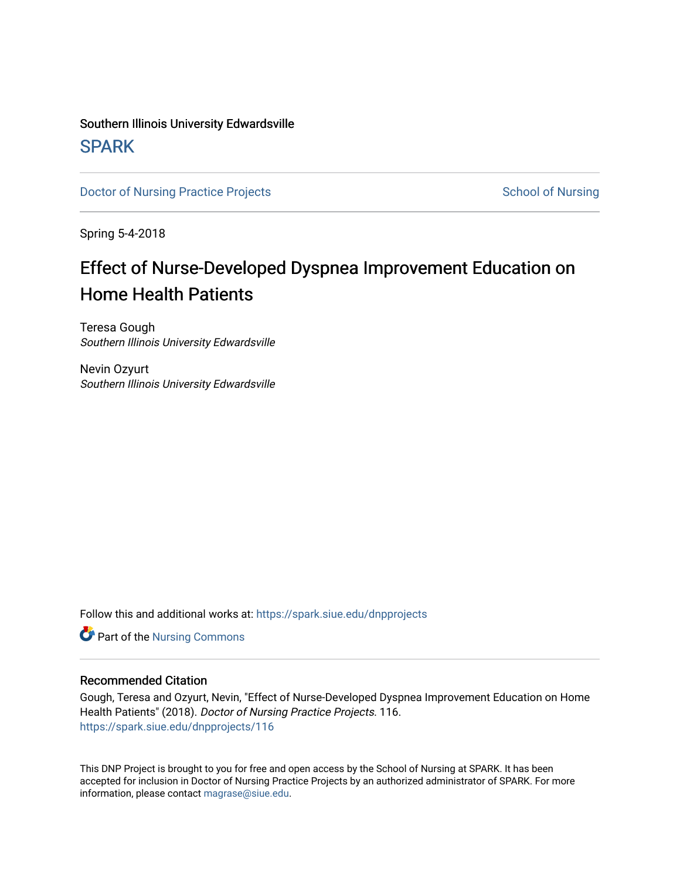## Southern Illinois University Edwardsville **SPARK**

[Doctor of Nursing Practice Projects](https://spark.siue.edu/dnpprojects) **School of Nursing** School of Nursing

Spring 5-4-2018

# Effect of Nurse-Developed Dyspnea Improvement Education on Home Health Patients

Teresa Gough Southern Illinois University Edwardsville

Nevin Ozyurt Southern Illinois University Edwardsville

Follow this and additional works at: [https://spark.siue.edu/dnpprojects](https://spark.siue.edu/dnpprojects?utm_source=spark.siue.edu%2Fdnpprojects%2F116&utm_medium=PDF&utm_campaign=PDFCoverPages) 

Part of the [Nursing Commons](http://network.bepress.com/hgg/discipline/718?utm_source=spark.siue.edu%2Fdnpprojects%2F116&utm_medium=PDF&utm_campaign=PDFCoverPages) 

#### Recommended Citation

Gough, Teresa and Ozyurt, Nevin, "Effect of Nurse-Developed Dyspnea Improvement Education on Home Health Patients" (2018). Doctor of Nursing Practice Projects. 116. [https://spark.siue.edu/dnpprojects/116](https://spark.siue.edu/dnpprojects/116?utm_source=spark.siue.edu%2Fdnpprojects%2F116&utm_medium=PDF&utm_campaign=PDFCoverPages) 

This DNP Project is brought to you for free and open access by the School of Nursing at SPARK. It has been accepted for inclusion in Doctor of Nursing Practice Projects by an authorized administrator of SPARK. For more information, please contact [magrase@siue.edu](mailto:magrase@siue.edu).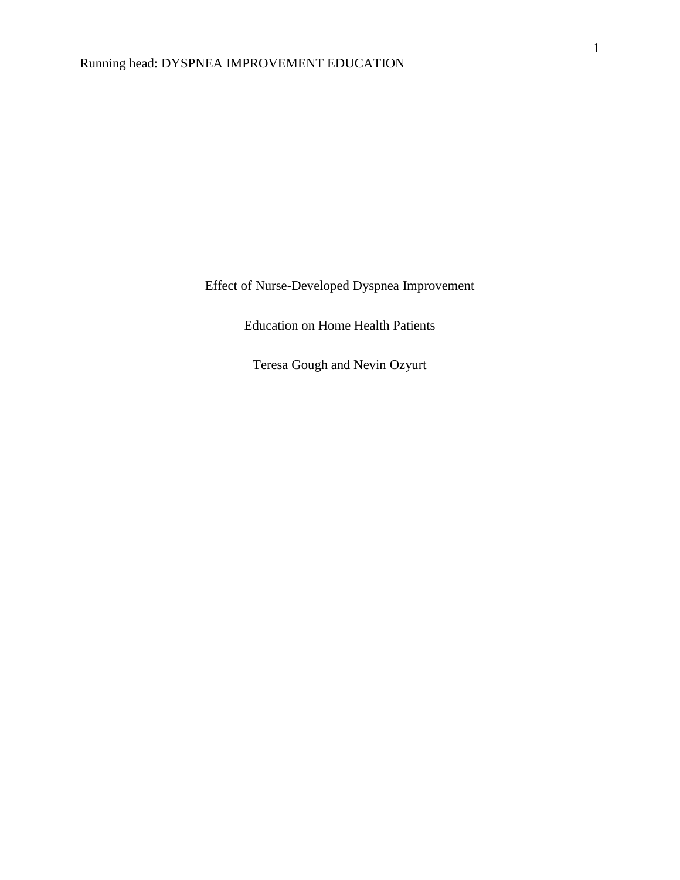Effect of Nurse-Developed Dyspnea Improvement

Education on Home Health Patients

Teresa Gough and Nevin Ozyurt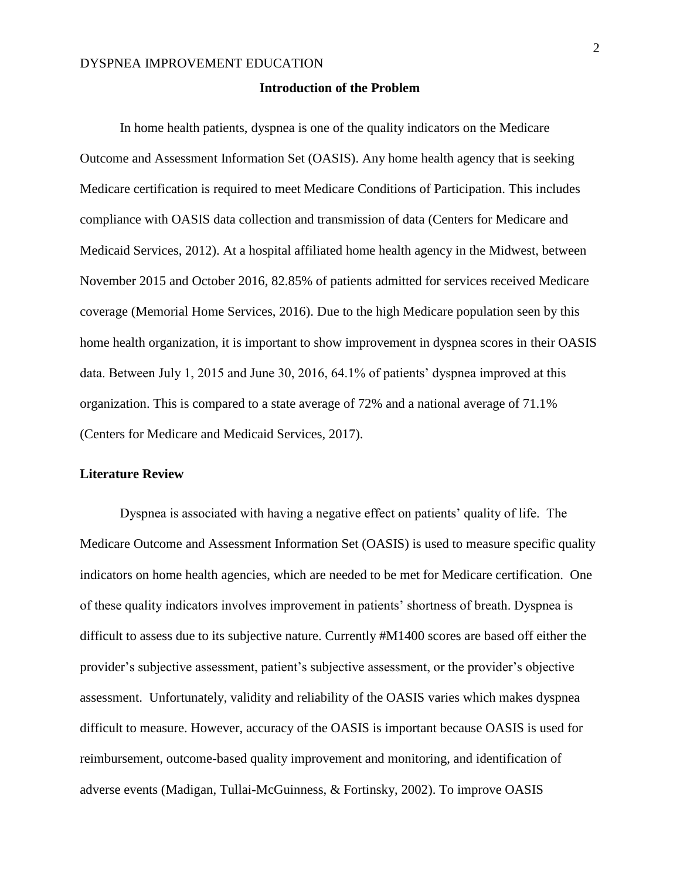#### **Introduction of the Problem**

In home health patients, dyspnea is one of the quality indicators on the Medicare Outcome and Assessment Information Set (OASIS). Any home health agency that is seeking Medicare certification is required to meet Medicare Conditions of Participation. This includes compliance with OASIS data collection and transmission of data (Centers for Medicare and Medicaid Services, 2012). At a hospital affiliated home health agency in the Midwest, between November 2015 and October 2016, 82.85% of patients admitted for services received Medicare coverage (Memorial Home Services, 2016). Due to the high Medicare population seen by this home health organization, it is important to show improvement in dyspnea scores in their OASIS data. Between July 1, 2015 and June 30, 2016, 64.1% of patients' dyspnea improved at this organization. This is compared to a state average of 72% and a national average of 71.1% (Centers for Medicare and Medicaid Services, 2017).

#### **Literature Review**

Dyspnea is associated with having a negative effect on patients' quality of life. The Medicare Outcome and Assessment Information Set (OASIS) is used to measure specific quality indicators on home health agencies, which are needed to be met for Medicare certification. One of these quality indicators involves improvement in patients' shortness of breath. Dyspnea is difficult to assess due to its subjective nature. Currently #M1400 scores are based off either the provider's subjective assessment, patient's subjective assessment, or the provider's objective assessment. Unfortunately, validity and reliability of the OASIS varies which makes dyspnea difficult to measure. However, accuracy of the OASIS is important because OASIS is used for reimbursement, outcome-based quality improvement and monitoring, and identification of adverse events (Madigan, Tullai-McGuinness, & Fortinsky, 2002). To improve OASIS

2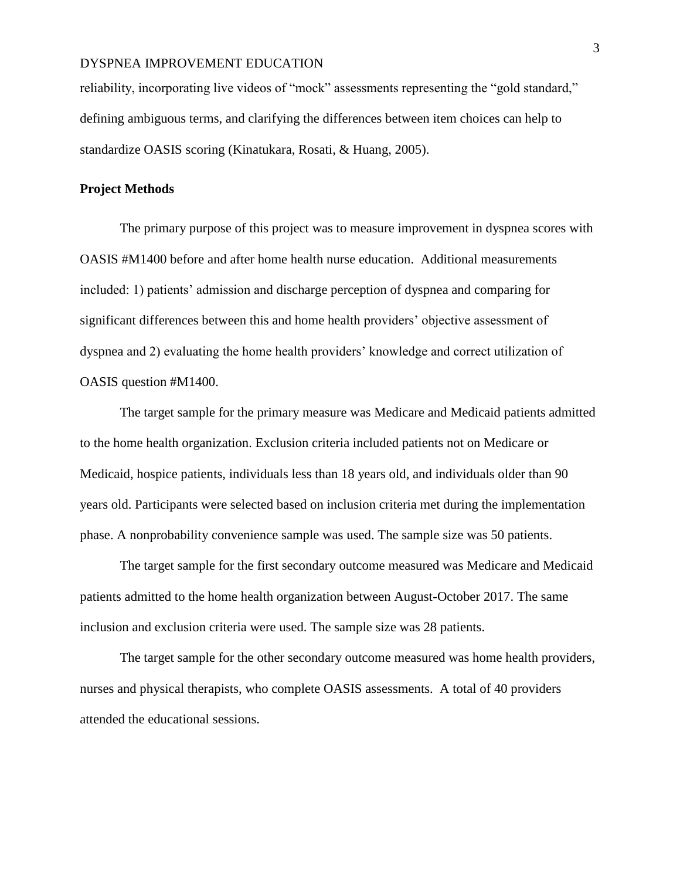reliability, incorporating live videos of "mock" assessments representing the "gold standard," defining ambiguous terms, and clarifying the differences between item choices can help to standardize OASIS scoring (Kinatukara, Rosati, & Huang, 2005).

#### **Project Methods**

The primary purpose of this project was to measure improvement in dyspnea scores with OASIS #M1400 before and after home health nurse education. Additional measurements included: 1) patients' admission and discharge perception of dyspnea and comparing for significant differences between this and home health providers' objective assessment of dyspnea and 2) evaluating the home health providers' knowledge and correct utilization of OASIS question #M1400.

The target sample for the primary measure was Medicare and Medicaid patients admitted to the home health organization. Exclusion criteria included patients not on Medicare or Medicaid, hospice patients, individuals less than 18 years old, and individuals older than 90 years old. Participants were selected based on inclusion criteria met during the implementation phase. A nonprobability convenience sample was used. The sample size was 50 patients.

The target sample for the first secondary outcome measured was Medicare and Medicaid patients admitted to the home health organization between August-October 2017. The same inclusion and exclusion criteria were used. The sample size was 28 patients.

The target sample for the other secondary outcome measured was home health providers, nurses and physical therapists, who complete OASIS assessments. A total of 40 providers attended the educational sessions.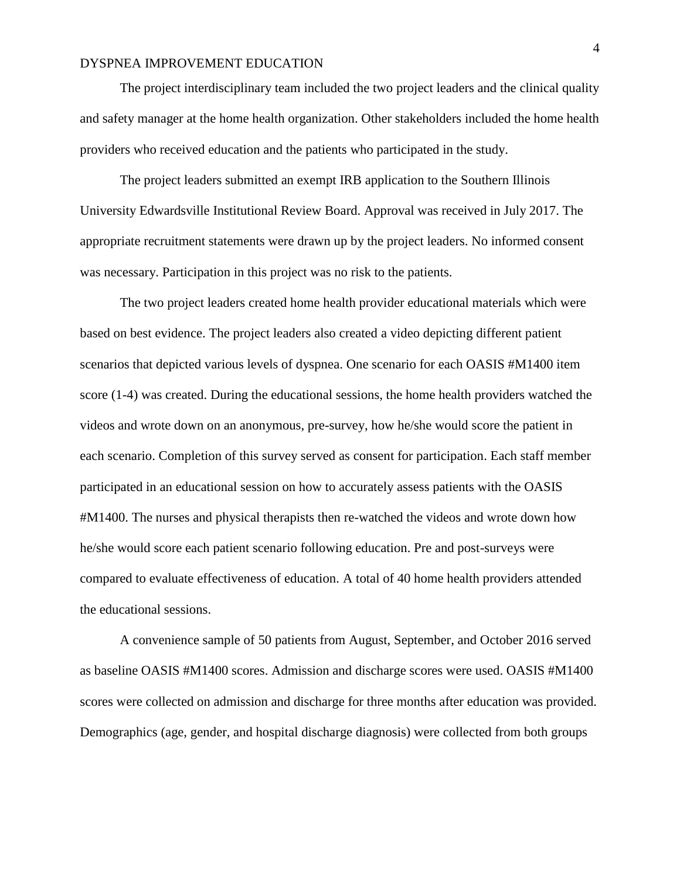The project interdisciplinary team included the two project leaders and the clinical quality and safety manager at the home health organization. Other stakeholders included the home health providers who received education and the patients who participated in the study.

The project leaders submitted an exempt IRB application to the Southern Illinois University Edwardsville Institutional Review Board. Approval was received in July 2017. The appropriate recruitment statements were drawn up by the project leaders. No informed consent was necessary. Participation in this project was no risk to the patients.

The two project leaders created home health provider educational materials which were based on best evidence. The project leaders also created a video depicting different patient scenarios that depicted various levels of dyspnea. One scenario for each OASIS #M1400 item score (1-4) was created. During the educational sessions, the home health providers watched the videos and wrote down on an anonymous, pre-survey, how he/she would score the patient in each scenario. Completion of this survey served as consent for participation. Each staff member participated in an educational session on how to accurately assess patients with the OASIS #M1400. The nurses and physical therapists then re-watched the videos and wrote down how he/she would score each patient scenario following education. Pre and post-surveys were compared to evaluate effectiveness of education. A total of 40 home health providers attended the educational sessions.

A convenience sample of 50 patients from August, September, and October 2016 served as baseline OASIS #M1400 scores. Admission and discharge scores were used. OASIS #M1400 scores were collected on admission and discharge for three months after education was provided. Demographics (age, gender, and hospital discharge diagnosis) were collected from both groups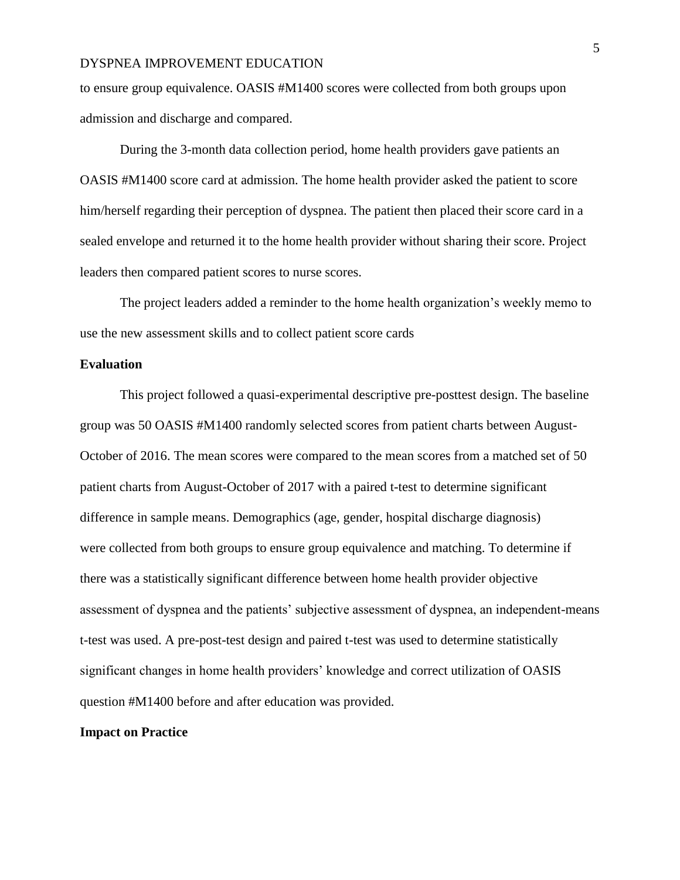to ensure group equivalence. OASIS #M1400 scores were collected from both groups upon admission and discharge and compared.

During the 3-month data collection period, home health providers gave patients an OASIS #M1400 score card at admission. The home health provider asked the patient to score him/herself regarding their perception of dyspnea. The patient then placed their score card in a sealed envelope and returned it to the home health provider without sharing their score. Project leaders then compared patient scores to nurse scores.

The project leaders added a reminder to the home health organization's weekly memo to use the new assessment skills and to collect patient score cards

#### **Evaluation**

This project followed a quasi-experimental descriptive pre-posttest design. The baseline group was 50 OASIS #M1400 randomly selected scores from patient charts between August-October of 2016. The mean scores were compared to the mean scores from a matched set of 50 patient charts from August-October of 2017 with a paired t-test to determine significant difference in sample means. Demographics (age, gender, hospital discharge diagnosis) were collected from both groups to ensure group equivalence and matching. To determine if there was a statistically significant difference between home health provider objective assessment of dyspnea and the patients' subjective assessment of dyspnea, an independent-means t-test was used. A pre-post-test design and paired t-test was used to determine statistically significant changes in home health providers' knowledge and correct utilization of OASIS question #M1400 before and after education was provided.

#### **Impact on Practice**

5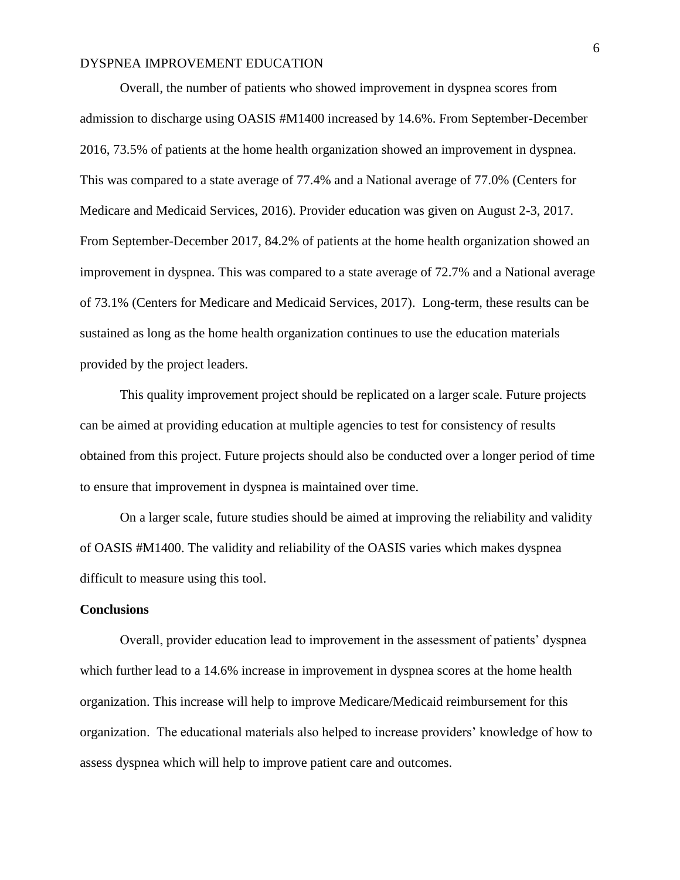Overall, the number of patients who showed improvement in dyspnea scores from admission to discharge using OASIS #M1400 increased by 14.6%. From September-December 2016, 73.5% of patients at the home health organization showed an improvement in dyspnea. This was compared to a state average of 77.4% and a National average of 77.0% (Centers for Medicare and Medicaid Services, 2016). Provider education was given on August 2-3, 2017. From September-December 2017, 84.2% of patients at the home health organization showed an improvement in dyspnea. This was compared to a state average of 72.7% and a National average of 73.1% (Centers for Medicare and Medicaid Services, 2017). Long-term, these results can be sustained as long as the home health organization continues to use the education materials provided by the project leaders.

This quality improvement project should be replicated on a larger scale. Future projects can be aimed at providing education at multiple agencies to test for consistency of results obtained from this project. Future projects should also be conducted over a longer period of time to ensure that improvement in dyspnea is maintained over time.

On a larger scale, future studies should be aimed at improving the reliability and validity of OASIS #M1400. The validity and reliability of the OASIS varies which makes dyspnea difficult to measure using this tool.

#### **Conclusions**

Overall, provider education lead to improvement in the assessment of patients' dyspnea which further lead to a 14.6% increase in improvement in dyspnea scores at the home health organization. This increase will help to improve Medicare/Medicaid reimbursement for this organization. The educational materials also helped to increase providers' knowledge of how to assess dyspnea which will help to improve patient care and outcomes.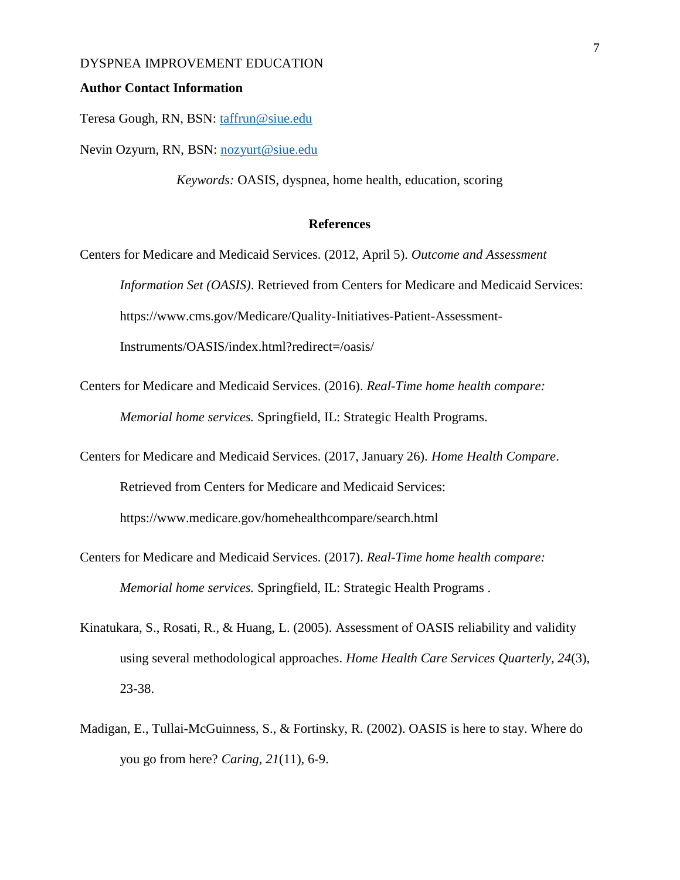#### **Author Contact Information**

Teresa Gough, RN, BSN: [taffrun@siue.edu](mailto:taffrun@siue.edu)

Nevin Ozyurn, RN, BSN: [nozyurt@siue.edu](mailto:nozyurt@siue.edu)

*Keywords:* OASIS, dyspnea, home health, education, scoring

#### **References**

Centers for Medicare and Medicaid Services. (2012, April 5). *Outcome and Assessment Information Set (OASIS)*. Retrieved from Centers for Medicare and Medicaid Services: https://www.cms.gov/Medicare/Quality-Initiatives-Patient-Assessment-Instruments/OASIS/index.html?redirect=/oasis/

- Centers for Medicare and Medicaid Services. (2016). *Real-Time home health compare: Memorial home services.* Springfield, IL: Strategic Health Programs.
- Centers for Medicare and Medicaid Services. (2017, January 26). *Home Health Compare*. Retrieved from Centers for Medicare and Medicaid Services: https://www.medicare.gov/homehealthcompare/search.html
- Centers for Medicare and Medicaid Services. (2017). *Real-Time home health compare: Memorial home services.* Springfield, IL: Strategic Health Programs .
- Kinatukara, S., Rosati, R., & Huang, L. (2005). Assessment of OASIS reliability and validity using several methodological approaches. *Home Health Care Services Quarterly, 24*(3), 23-38.
- Madigan, E., Tullai-McGuinness, S., & Fortinsky, R. (2002). OASIS is here to stay. Where do you go from here? *Caring, 21*(11), 6-9.